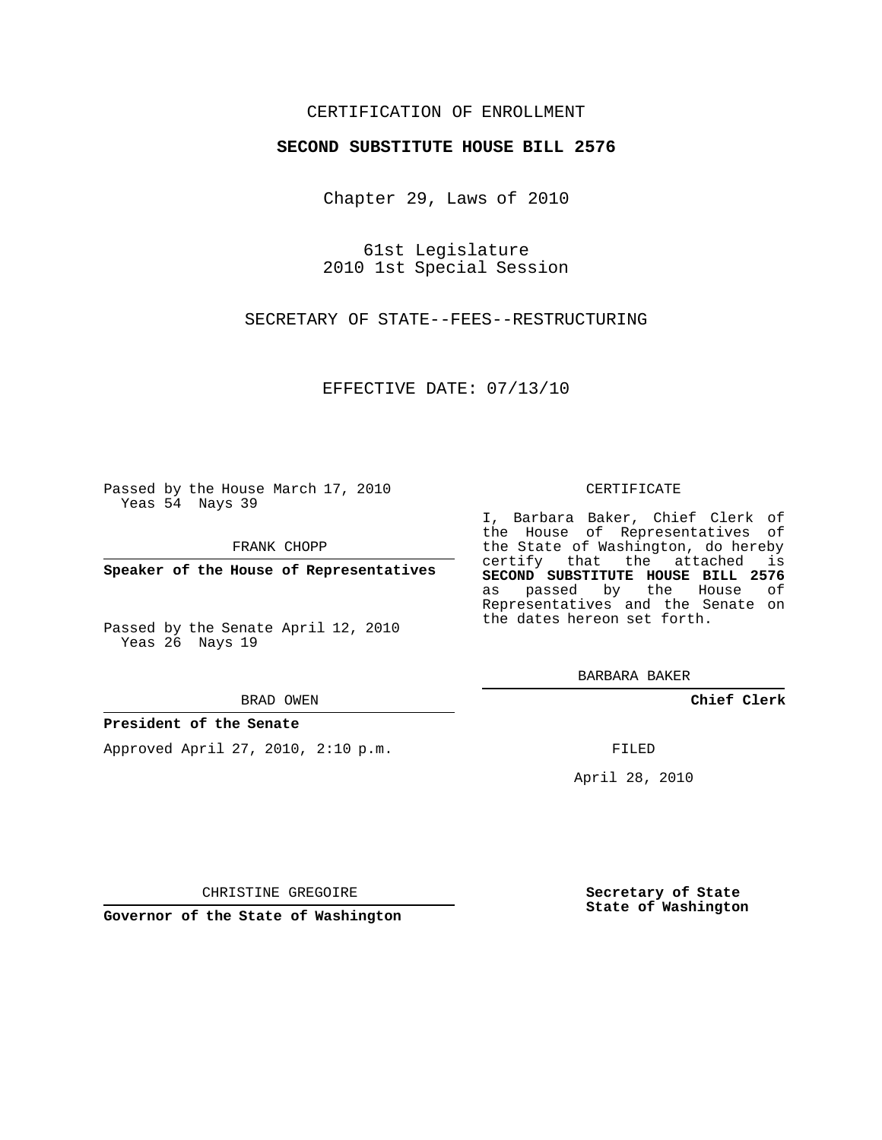### CERTIFICATION OF ENROLLMENT

### **SECOND SUBSTITUTE HOUSE BILL 2576**

Chapter 29, Laws of 2010

61st Legislature 2010 1st Special Session

SECRETARY OF STATE--FEES--RESTRUCTURING

EFFECTIVE DATE: 07/13/10

Passed by the House March 17, 2010 Yeas 54 Nays 39

FRANK CHOPP

**Speaker of the House of Representatives**

Passed by the Senate April 12, 2010 Yeas 26 Nays 19

#### BRAD OWEN

#### **President of the Senate**

Approved April 27, 2010, 2:10 p.m.

#### CERTIFICATE

I, Barbara Baker, Chief Clerk of the House of Representatives of the State of Washington, do hereby certify that the attached is **SECOND SUBSTITUTE HOUSE BILL 2576** as passed by the House of Representatives and the Senate on the dates hereon set forth.

BARBARA BAKER

**Chief Clerk**

FILED

April 28, 2010

**Secretary of State State of Washington**

CHRISTINE GREGOIRE

**Governor of the State of Washington**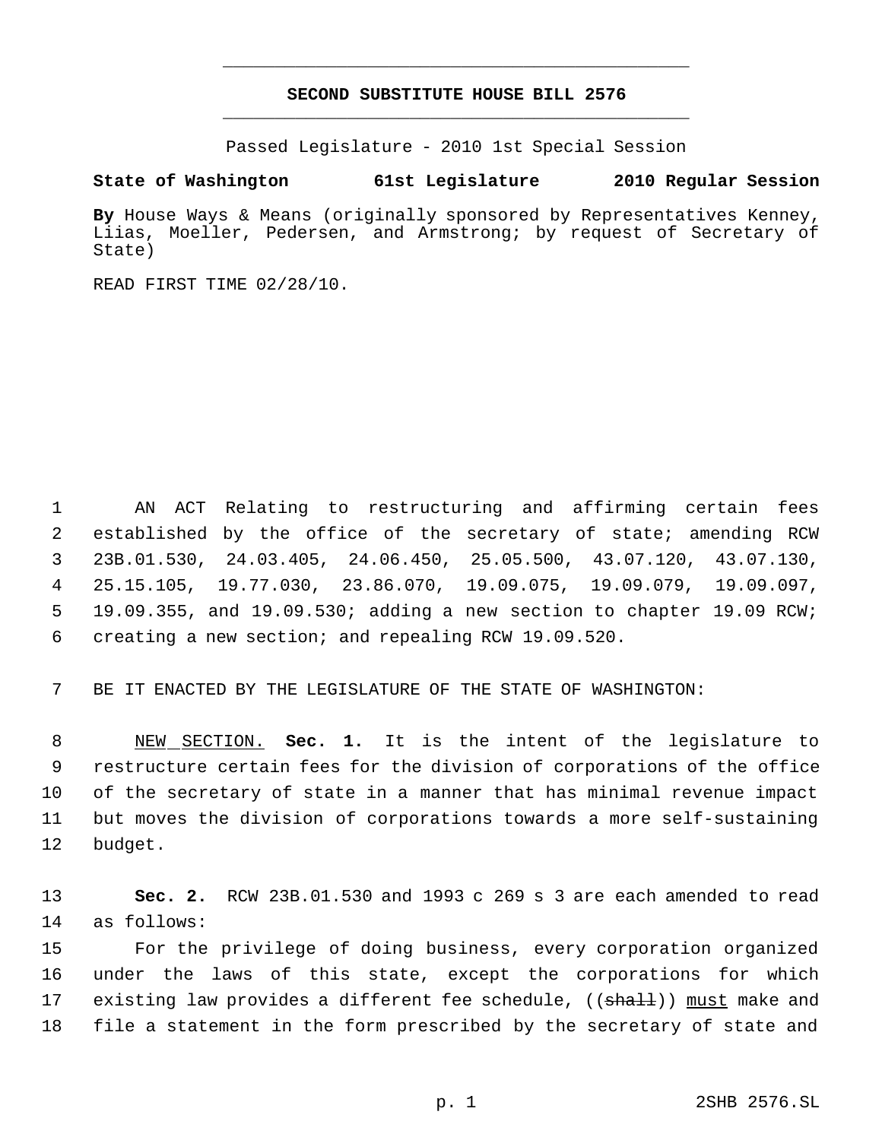## **SECOND SUBSTITUTE HOUSE BILL 2576** \_\_\_\_\_\_\_\_\_\_\_\_\_\_\_\_\_\_\_\_\_\_\_\_\_\_\_\_\_\_\_\_\_\_\_\_\_\_\_\_\_\_\_\_\_

\_\_\_\_\_\_\_\_\_\_\_\_\_\_\_\_\_\_\_\_\_\_\_\_\_\_\_\_\_\_\_\_\_\_\_\_\_\_\_\_\_\_\_\_\_

Passed Legislature - 2010 1st Special Session

# **State of Washington 61st Legislature 2010 Regular Session**

**By** House Ways & Means (originally sponsored by Representatives Kenney, Liias, Moeller, Pedersen, and Armstrong; by request of Secretary of State)

READ FIRST TIME 02/28/10.

 AN ACT Relating to restructuring and affirming certain fees established by the office of the secretary of state; amending RCW 23B.01.530, 24.03.405, 24.06.450, 25.05.500, 43.07.120, 43.07.130, 25.15.105, 19.77.030, 23.86.070, 19.09.075, 19.09.079, 19.09.097, 19.09.355, and 19.09.530; adding a new section to chapter 19.09 RCW; creating a new section; and repealing RCW 19.09.520.

BE IT ENACTED BY THE LEGISLATURE OF THE STATE OF WASHINGTON:

 NEW SECTION. **Sec. 1.** It is the intent of the legislature to restructure certain fees for the division of corporations of the office of the secretary of state in a manner that has minimal revenue impact but moves the division of corporations towards a more self-sustaining budget.

 **Sec. 2.** RCW 23B.01.530 and 1993 c 269 s 3 are each amended to read as follows:

 For the privilege of doing business, every corporation organized under the laws of this state, except the corporations for which 17 existing law provides a different fee schedule, ((shall)) must make and file a statement in the form prescribed by the secretary of state and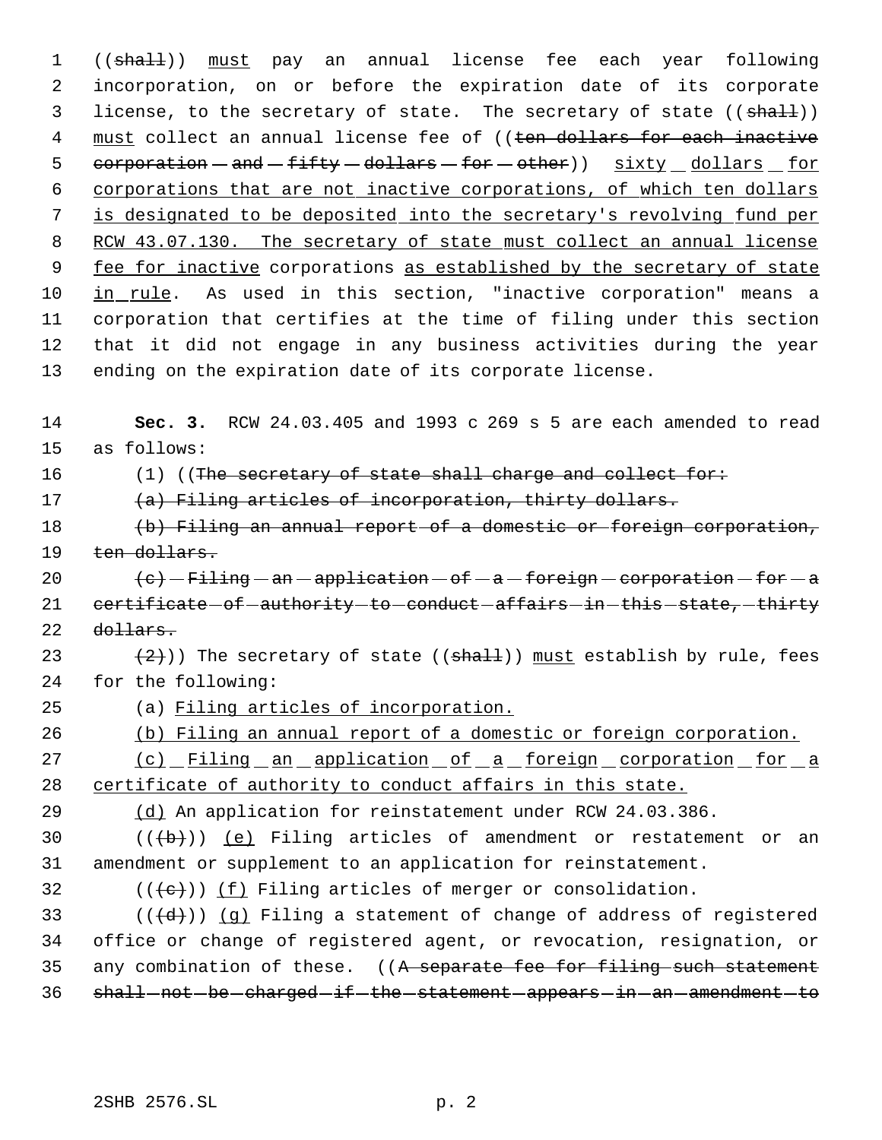1 ((shall)) must pay an annual license fee each year following incorporation, on or before the expiration date of its corporate 3 license, to the secretary of state. The secretary of state ((shall)) 4 must collect an annual license fee of ((ten dollars for each inactive  $corporation - and - fifty - dollars - for - other)$  sixty dollars for corporations that are not inactive corporations, of which ten dollars is designated to be deposited into the secretary's revolving fund per 8 RCW 43.07.130. The secretary of state must collect an annual license 9 fee for inactive corporations as established by the secretary of state in rule. As used in this section, "inactive corporation" means a corporation that certifies at the time of filing under this section that it did not engage in any business activities during the year ending on the expiration date of its corporate license.

14 **Sec. 3.** RCW 24.03.405 and 1993 c 269 s 5 are each amended to read 15 as follows:

16 (1) ((The secretary of state shall charge and collect for:

17 (a) Filing articles of incorporation, thirty dollars.

18 (b) Filing an annual report of a domestic or foreign corporation, 19 ten dollars.

20  $\left(e\right)$  - Filing - an - application - of - a - foreign - corporation - for - a 21 certificate of authority to conduct affairs in this state, thirty 22 dollars.

23  $(2)$ )) The secretary of state (( $shall$ )) must establish by rule, fees 24 for the following:

25 (a) Filing articles of incorporation.

26 (b) Filing an annual report of a domestic or foreign corporation.

27 (c) Filing an application of a foreign corporation for a 28 certificate of authority to conduct affairs in this state.

29 (d) An application for reinstatement under RCW 24.03.386.

30  $((+b))$   $(e)$  Filing articles of amendment or restatement or an 31 amendment or supplement to an application for reinstatement.

32  $((\{e\}) \cup \{f\})$  Filing articles of merger or consolidation.

33  $((\{d\}))(q)$  Filing a statement of change of address of registered 34 office or change of registered agent, or revocation, resignation, or 35 any combination of these. ((A separate fee for filing such statement 36 shall-not-be-charged-if-the-statement-appears-in-an-amendment-to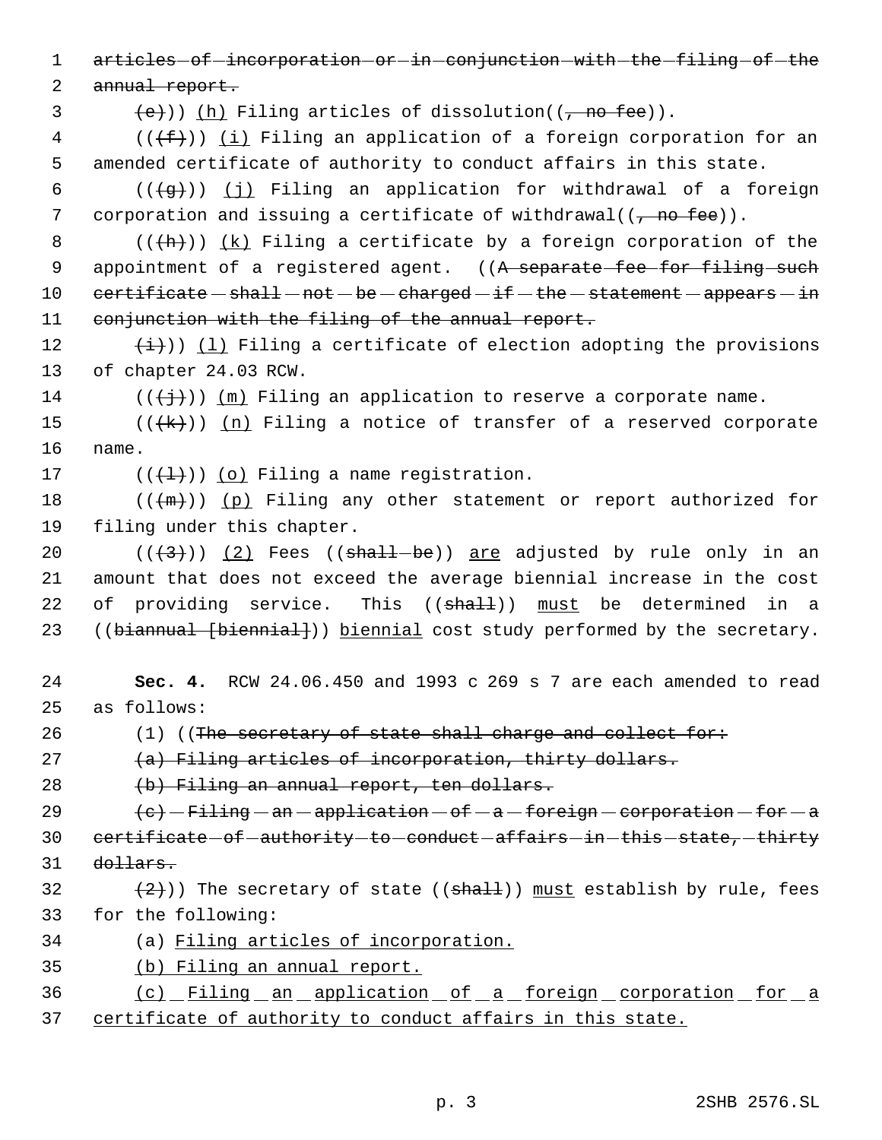1 articles of incorporation or in conjunction with the filing of the 2 annual report.  $\{e\})$  (h) Filing articles of dissolution(( $\tau$  no fee)).  $4$  (( $(f)$ )) (i) Filing an application of a foreign corporation for an 5 amended certificate of authority to conduct affairs in this state. 6 ( $(\frac{1}{9})$ ) (j) Filing an application for withdrawal of a foreign 7 corporation and issuing a certificate of withdrawal( $(\frac{\pi}{2})$  fee)). 8  $((+h))$   $(k)$  Filing a certificate by a foreign corporation of the 9 appointment of a registered agent. ((A separate fee for filing such  $10$  certificate  $-$  shall  $-$  not  $-$  be  $-$  charged  $-$  if  $-$  the  $-$  statement  $-$  appears  $-$  in 11 conjunction with the filing of the annual report. 12  $(\frac{1}{1})$  (1) Filing a certificate of election adopting the provisions 13 of chapter 24.03 RCW. 14 ( $(\frac{+}{+})$ ) (m) Filing an application to reserve a corporate name. 15  $((+k))$   $(n)$  Filing a notice of transfer of a reserved corporate 16 name. 17  $((\{\pm\})\)$  (o) Filing a name registration. 18  $((+m))$  (p) Filing any other statement or report authorized for 19 filing under this chapter. 20  $((\langle 3 \rangle)(2)$  Fees  $((shall - be))$  are adjusted by rule only in an 21 amount that does not exceed the average biennial increase in the cost 22 of providing service. This ((shall)) must be determined in a 23 ((biannual [biennial])) biennial cost study performed by the secretary. 24 **Sec. 4.** RCW 24.06.450 and 1993 c 269 s 7 are each amended to read 25 as follows: 26  $(1)$  ((The secretary of state shall charge and collect for: 27 (a) Filing articles of incorporation, thirty dollars. 28 (b) Filing an annual report, ten dollars. 29  $\left(e\right)$  - Filing - an - application - of - a - foreign - corporation - for - a 30 certificate of authority to conduct affairs in this state, thirty 31 dollars. 32  $(2)$ ) The secretary of state ((shall)) must establish by rule, fees 33 for the following: 34 (a) Filing articles of incorporation. 35 (b) Filing an annual report. 36 (c) Filing an application of a foreign corporation for a 37 certificate of authority to conduct affairs in this state.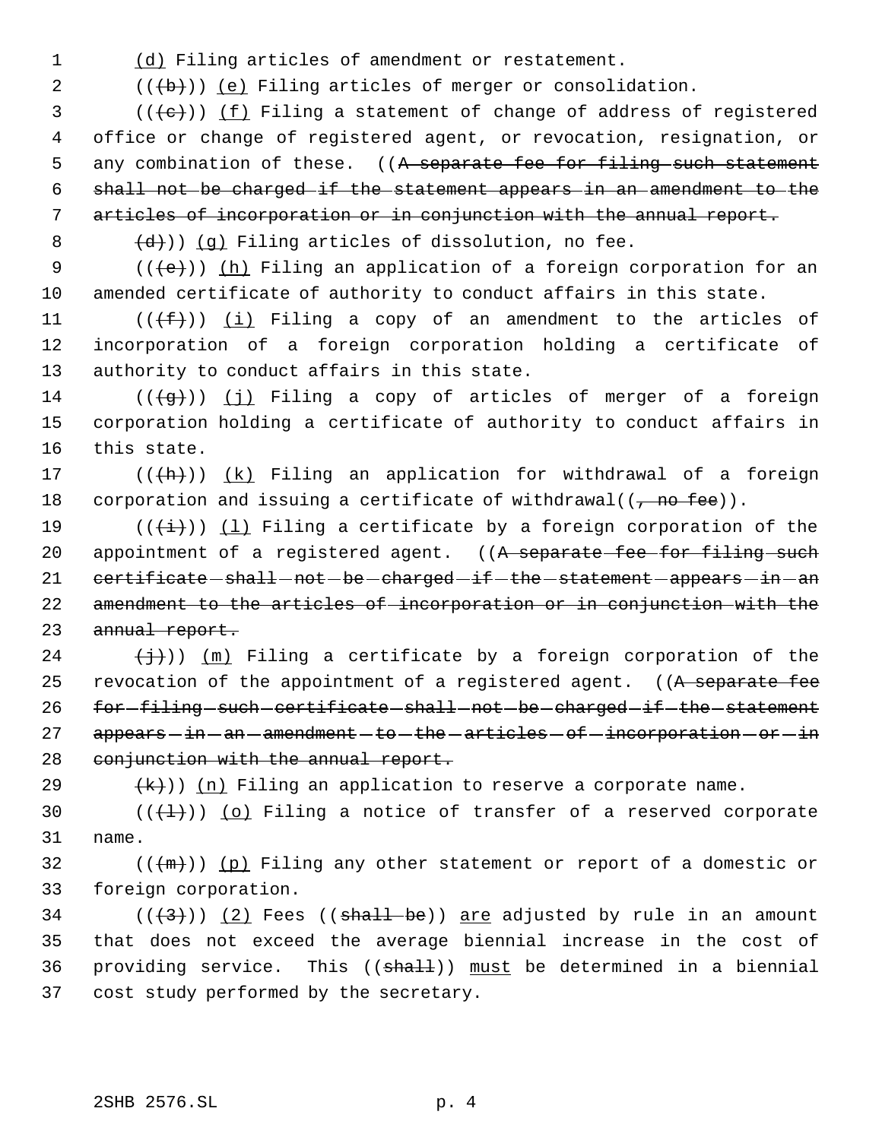1 (d) Filing articles of amendment or restatement.

2  $((+b))$   $(e)$  Filing articles of merger or consolidation.

 (( $\left(\frac{1}{1}+1\right)$ ) (f) Filing a statement of change of address of registered office or change of registered agent, or revocation, resignation, or 5 any combination of these. ((A separate fee for filing such statement shall not be charged if the statement appears in an amendment to the articles of incorporation or in conjunction with the annual report.

 $\left(\frac{d}{d}\right)$ ) (g) Filing articles of dissolution, no fee.

9 (((e)) (h) Filing an application of a foreign corporation for an 10 amended certificate of authority to conduct affairs in this state.

11  $((\text{#}))$   $(i)$  Filing a copy of an amendment to the articles of 12 incorporation of a foreign corporation holding a certificate of 13 authority to conduct affairs in this state.

14 ( $(\overline{q})$ ) (j) Filing a copy of articles of merger of a foreign 15 corporation holding a certificate of authority to conduct affairs in 16 this state.

17  $((+h))$   $(k)$  Filing an application for withdrawal of a foreign 18 corporation and issuing a certificate of withdrawal( $(\tau$  no fee)).

19 ( $(\frac{1}{1})$ ) (1) Filing a certificate by a foreign corporation of the 20 appointment of a registered agent. ((A separate fee for filing such 21 certificate - shall - not - be - charged - if - the - statement - appears - in - an 22 amendment to the articles of incorporation or in conjunction with the 23 annual report.

24  $(\frac{1}{2})$ ) (m) Filing a certificate by a foreign corporation of the 25 revocation of the appointment of a registered agent. ((A separate fee 26 for-filing-such-certificate-shall-not-be-charged-if-the-statement 27 appears - in - an - amendment - to - the - articles - of - incorporation - or - in 28 conjunction with the annual report.

29  $(k)$ ) (n) Filing an application to reserve a corporate name.

30  $((+1))$  (o) Filing a notice of transfer of a reserved corporate 31 name.

 $32$  (( $\{\text{m}\})$ ) (p) Filing any other statement or report of a domestic or 33 foreign corporation.

34 ( $(\langle 3 \rangle)$  (2) Fees ((shall be)) are adjusted by rule in an amount 35 that does not exceed the average biennial increase in the cost of 36 providing service. This ((shall)) must be determined in a biennial 37 cost study performed by the secretary.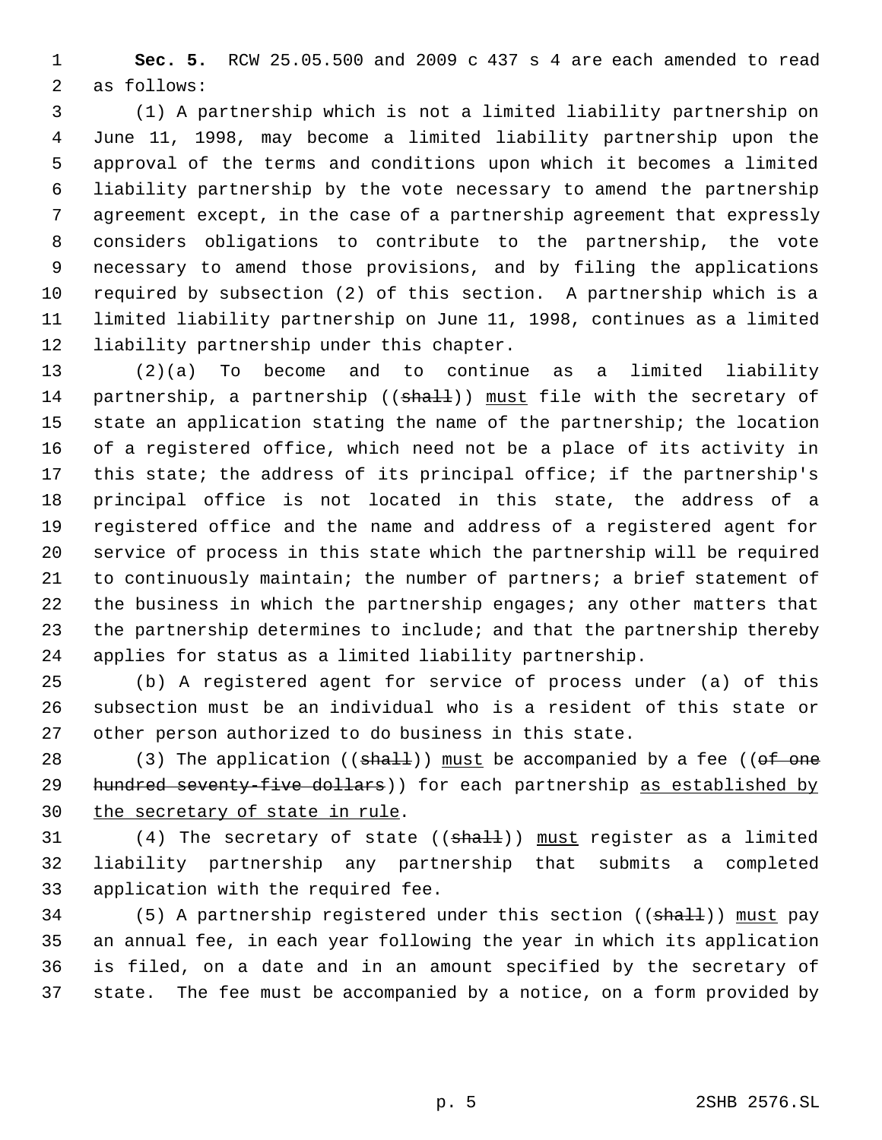**Sec. 5.** RCW 25.05.500 and 2009 c 437 s 4 are each amended to read as follows:

 (1) A partnership which is not a limited liability partnership on June 11, 1998, may become a limited liability partnership upon the approval of the terms and conditions upon which it becomes a limited liability partnership by the vote necessary to amend the partnership agreement except, in the case of a partnership agreement that expressly considers obligations to contribute to the partnership, the vote necessary to amend those provisions, and by filing the applications required by subsection (2) of this section. A partnership which is a limited liability partnership on June 11, 1998, continues as a limited liability partnership under this chapter.

 (2)(a) To become and to continue as a limited liability 14 partnership, a partnership ((shall)) must file with the secretary of state an application stating the name of the partnership; the location of a registered office, which need not be a place of its activity in this state; the address of its principal office; if the partnership's principal office is not located in this state, the address of a registered office and the name and address of a registered agent for service of process in this state which the partnership will be required to continuously maintain; the number of partners; a brief statement of the business in which the partnership engages; any other matters that 23 the partnership determines to include; and that the partnership thereby applies for status as a limited liability partnership.

 (b) A registered agent for service of process under (a) of this subsection must be an individual who is a resident of this state or other person authorized to do business in this state.

28 (3) The application (( $shall$ )) must be accompanied by a fee (( $of$  one 29 hundred seventy-five dollars)) for each partnership as established by the secretary of state in rule.

31  $(4)$  The secretary of state  $((shall))$  must register as a limited liability partnership any partnership that submits a completed application with the required fee.

34 (5) A partnership registered under this section ((shall)) must pay an annual fee, in each year following the year in which its application is filed, on a date and in an amount specified by the secretary of state. The fee must be accompanied by a notice, on a form provided by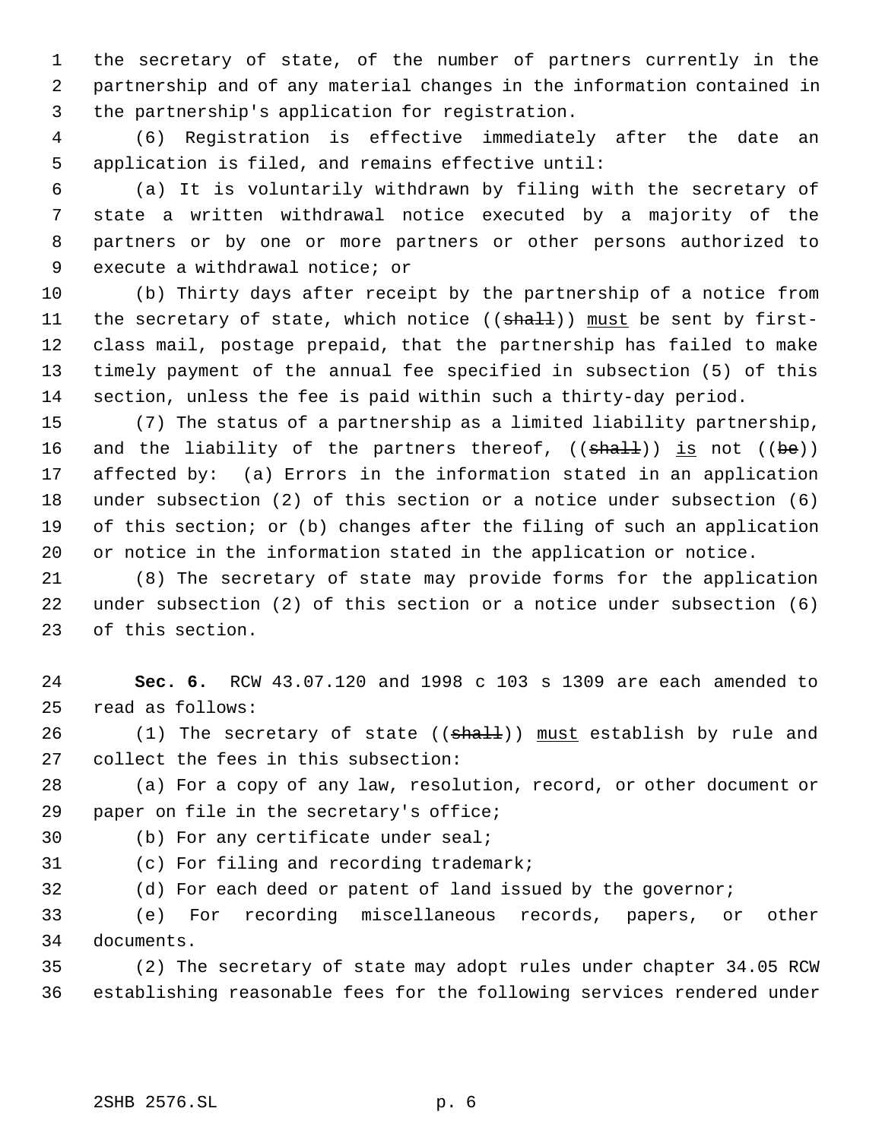the secretary of state, of the number of partners currently in the partnership and of any material changes in the information contained in the partnership's application for registration.

 (6) Registration is effective immediately after the date an application is filed, and remains effective until:

 (a) It is voluntarily withdrawn by filing with the secretary of state a written withdrawal notice executed by a majority of the partners or by one or more partners or other persons authorized to execute a withdrawal notice; or

 (b) Thirty days after receipt by the partnership of a notice from 11 the secretary of state, which notice ((shall)) must be sent by first- class mail, postage prepaid, that the partnership has failed to make timely payment of the annual fee specified in subsection (5) of this section, unless the fee is paid within such a thirty-day period.

 (7) The status of a partnership as a limited liability partnership, 16 and the liability of the partners thereof,  $((\text{shall}))$  is not  $((\text{be}))$  affected by: (a) Errors in the information stated in an application under subsection (2) of this section or a notice under subsection (6) of this section; or (b) changes after the filing of such an application or notice in the information stated in the application or notice.

 (8) The secretary of state may provide forms for the application under subsection (2) of this section or a notice under subsection (6) of this section.

 **Sec. 6.** RCW 43.07.120 and 1998 c 103 s 1309 are each amended to read as follows:

26  $(1)$  The secretary of state  $((shall))$  must establish by rule and collect the fees in this subsection:

 (a) For a copy of any law, resolution, record, or other document or paper on file in the secretary's office;

(b) For any certificate under seal;

(c) For filing and recording trademark;

(d) For each deed or patent of land issued by the governor;

 (e) For recording miscellaneous records, papers, or other documents.

 (2) The secretary of state may adopt rules under chapter 34.05 RCW establishing reasonable fees for the following services rendered under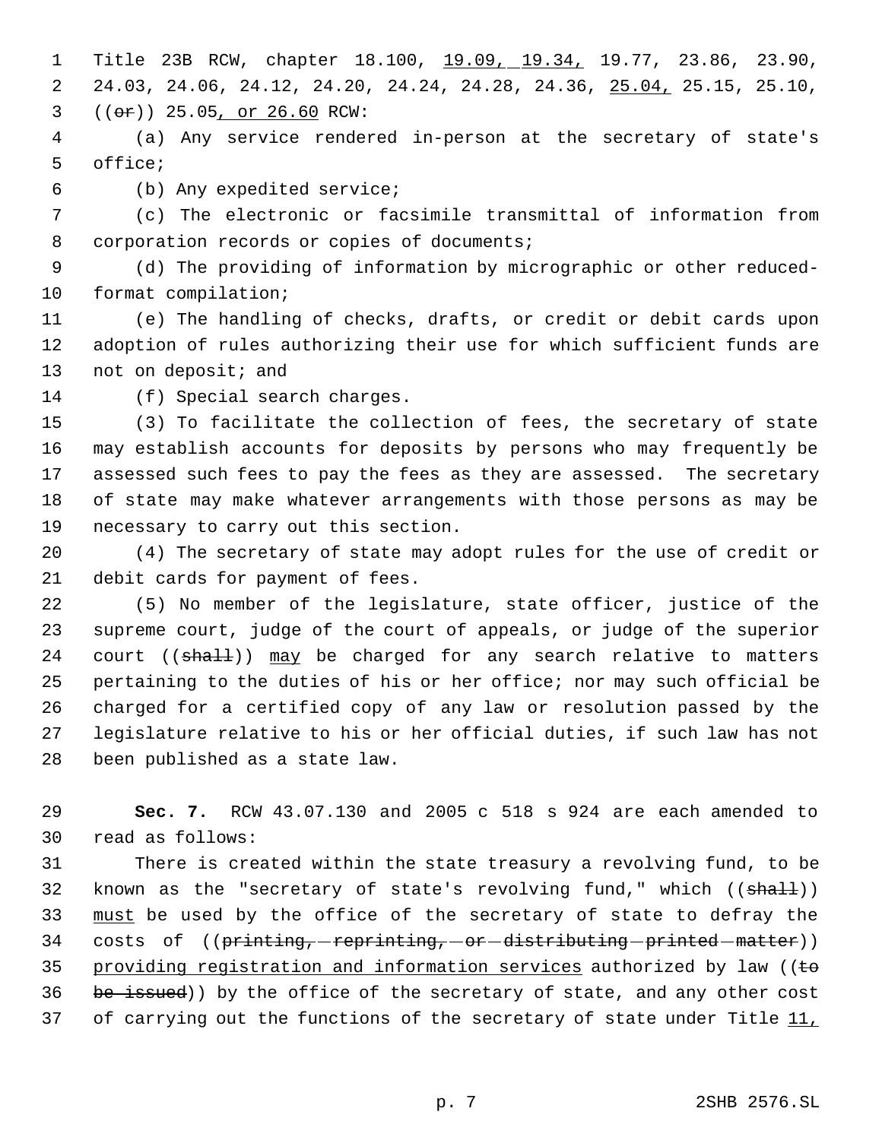1 Title 23B RCW, chapter 18.100, 19.09, 19.34, 19.77, 23.86, 23.90, 24.03, 24.06, 24.12, 24.20, 24.24, 24.28, 24.36, 25.04, 25.15, 25.10,  $3 ((or)) 25.05, or 26.60 RCW:$ 

 (a) Any service rendered in-person at the secretary of state's office;

(b) Any expedited service;

 (c) The electronic or facsimile transmittal of information from 8 corporation records or copies of documents;

 (d) The providing of information by micrographic or other reduced-format compilation;

 (e) The handling of checks, drafts, or credit or debit cards upon adoption of rules authorizing their use for which sufficient funds are 13 not on deposit; and

(f) Special search charges.

 (3) To facilitate the collection of fees, the secretary of state may establish accounts for deposits by persons who may frequently be assessed such fees to pay the fees as they are assessed. The secretary of state may make whatever arrangements with those persons as may be necessary to carry out this section.

 (4) The secretary of state may adopt rules for the use of credit or debit cards for payment of fees.

 (5) No member of the legislature, state officer, justice of the supreme court, judge of the court of appeals, or judge of the superior 24 court ((shall)) may be charged for any search relative to matters pertaining to the duties of his or her office; nor may such official be charged for a certified copy of any law or resolution passed by the legislature relative to his or her official duties, if such law has not been published as a state law.

 **Sec. 7.** RCW 43.07.130 and 2005 c 518 s 924 are each amended to read as follows:

 There is created within the state treasury a revolving fund, to be 32 known as the "secretary of state's revolving fund," which ((shall)) 33 must be used by the office of the secretary of state to defray the 34 costs of ((printing, reprinting, or distributing printed matter)) 35 providing registration and information services authorized by law ( $\epsilon$ 36 be issued)) by the office of the secretary of state, and any other cost 37 of carrying out the functions of the secretary of state under Title 11,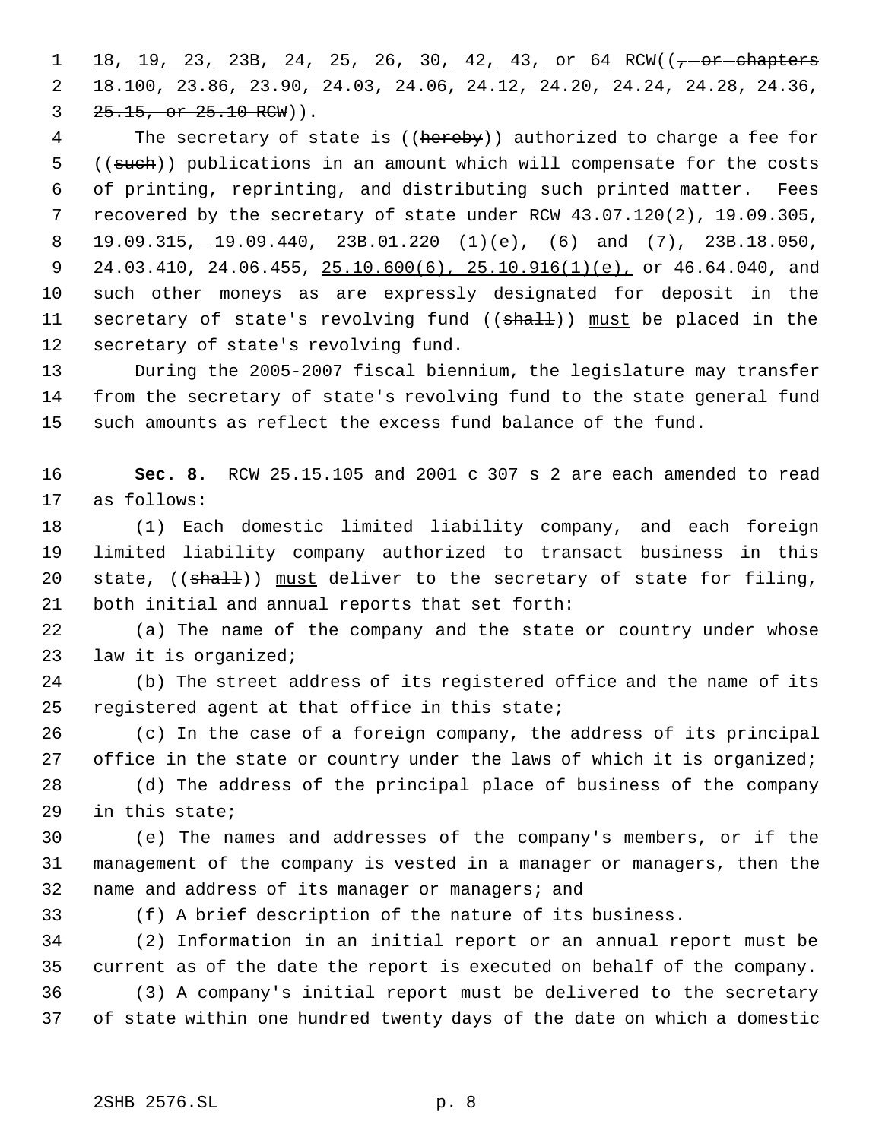1 18, 19, 23, 23B, 24, 25, 26, 30, 42, 43, or 64 RCW((--or-chapters 18.100, 23.86, 23.90, 24.03, 24.06, 24.12, 24.20, 24.24, 24.28, 24.36, 3 25.15, or 25.10 RCW)).

4 The secretary of state is ((hereby)) authorized to charge a fee for 5 ((such)) publications in an amount which will compensate for the costs of printing, reprinting, and distributing such printed matter. Fees recovered by the secretary of state under RCW 43.07.120(2), 19.09.305, 19.09.315, 19.09.440, 23B.01.220 (1)(e), (6) and (7), 23B.18.050, 9 24.03.410, 24.06.455, 25.10.600(6), 25.10.916(1)(e), or 46.64.040, and such other moneys as are expressly designated for deposit in the 11 secretary of state's revolving fund ((shall)) must be placed in the secretary of state's revolving fund.

 During the 2005-2007 fiscal biennium, the legislature may transfer from the secretary of state's revolving fund to the state general fund such amounts as reflect the excess fund balance of the fund.

 **Sec. 8.** RCW 25.15.105 and 2001 c 307 s 2 are each amended to read as follows:

 (1) Each domestic limited liability company, and each foreign limited liability company authorized to transact business in this 20 state, ((shall)) must deliver to the secretary of state for filing, both initial and annual reports that set forth:

 (a) The name of the company and the state or country under whose law it is organized;

 (b) The street address of its registered office and the name of its registered agent at that office in this state;

 (c) In the case of a foreign company, the address of its principal 27 office in the state or country under the laws of which it is organized;

 (d) The address of the principal place of business of the company in this state;

 (e) The names and addresses of the company's members, or if the management of the company is vested in a manager or managers, then the name and address of its manager or managers; and

(f) A brief description of the nature of its business.

 (2) Information in an initial report or an annual report must be current as of the date the report is executed on behalf of the company. (3) A company's initial report must be delivered to the secretary of state within one hundred twenty days of the date on which a domestic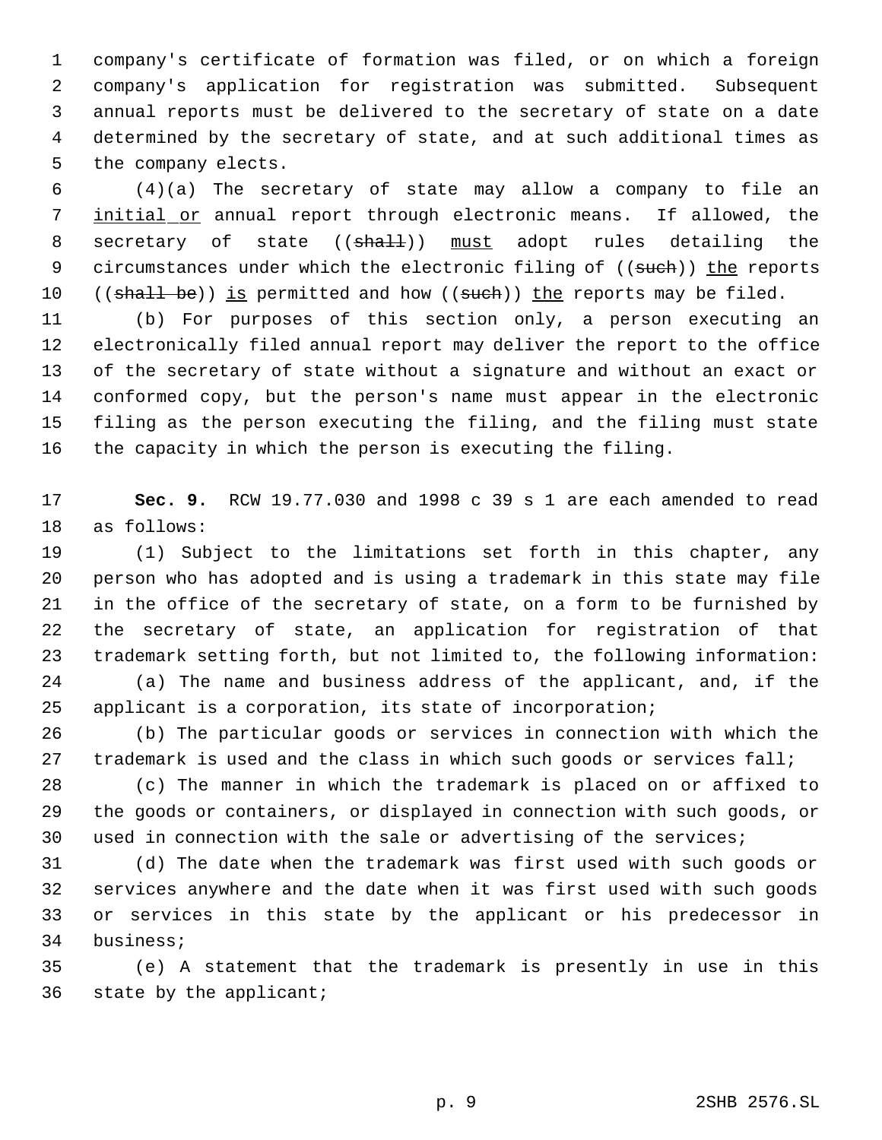company's certificate of formation was filed, or on which a foreign company's application for registration was submitted. Subsequent annual reports must be delivered to the secretary of state on a date determined by the secretary of state, and at such additional times as the company elects.

 (4)(a) The secretary of state may allow a company to file an 7 initial or annual report through electronic means. If allowed, the 8 secretary of state ((shall)) must adopt rules detailing the 9 circumstances under which the electronic filing of ((such)) the reports 10 ((shall be)) is permitted and how ((such)) the reports may be filed.

 (b) For purposes of this section only, a person executing an electronically filed annual report may deliver the report to the office of the secretary of state without a signature and without an exact or conformed copy, but the person's name must appear in the electronic filing as the person executing the filing, and the filing must state the capacity in which the person is executing the filing.

 **Sec. 9.** RCW 19.77.030 and 1998 c 39 s 1 are each amended to read as follows:

 (1) Subject to the limitations set forth in this chapter, any person who has adopted and is using a trademark in this state may file in the office of the secretary of state, on a form to be furnished by the secretary of state, an application for registration of that trademark setting forth, but not limited to, the following information: (a) The name and business address of the applicant, and, if the

 applicant is a corporation, its state of incorporation; (b) The particular goods or services in connection with which the

27 trademark is used and the class in which such goods or services fall;

 (c) The manner in which the trademark is placed on or affixed to the goods or containers, or displayed in connection with such goods, or used in connection with the sale or advertising of the services;

 (d) The date when the trademark was first used with such goods or services anywhere and the date when it was first used with such goods or services in this state by the applicant or his predecessor in business;

 (e) A statement that the trademark is presently in use in this state by the applicant;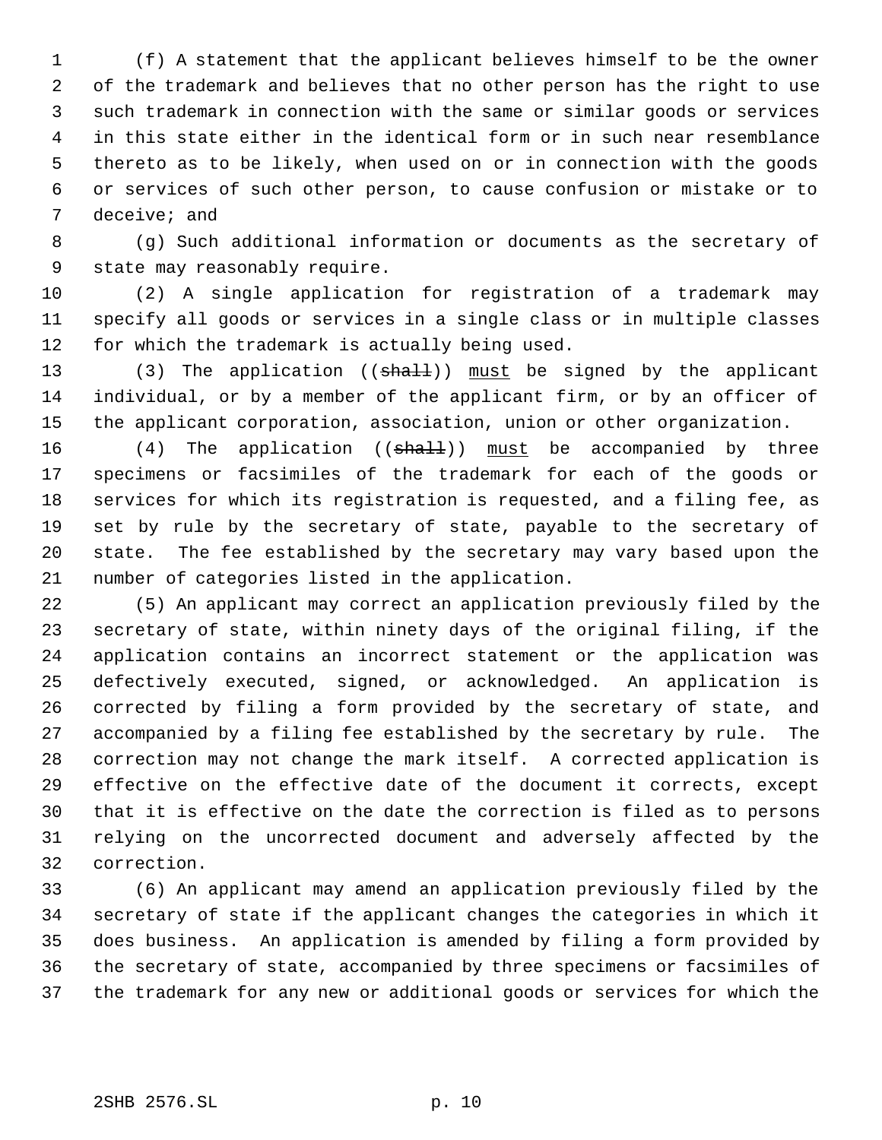(f) A statement that the applicant believes himself to be the owner of the trademark and believes that no other person has the right to use such trademark in connection with the same or similar goods or services in this state either in the identical form or in such near resemblance thereto as to be likely, when used on or in connection with the goods or services of such other person, to cause confusion or mistake or to deceive; and

 (g) Such additional information or documents as the secretary of state may reasonably require.

 (2) A single application for registration of a trademark may specify all goods or services in a single class or in multiple classes for which the trademark is actually being used.

13 (3) The application ((shall)) must be signed by the applicant individual, or by a member of the applicant firm, or by an officer of the applicant corporation, association, union or other organization.

16 (4) The application ((shall)) must be accompanied by three specimens or facsimiles of the trademark for each of the goods or services for which its registration is requested, and a filing fee, as set by rule by the secretary of state, payable to the secretary of state. The fee established by the secretary may vary based upon the number of categories listed in the application.

 (5) An applicant may correct an application previously filed by the secretary of state, within ninety days of the original filing, if the application contains an incorrect statement or the application was defectively executed, signed, or acknowledged. An application is corrected by filing a form provided by the secretary of state, and accompanied by a filing fee established by the secretary by rule. The correction may not change the mark itself. A corrected application is effective on the effective date of the document it corrects, except that it is effective on the date the correction is filed as to persons relying on the uncorrected document and adversely affected by the correction.

 (6) An applicant may amend an application previously filed by the secretary of state if the applicant changes the categories in which it does business. An application is amended by filing a form provided by the secretary of state, accompanied by three specimens or facsimiles of the trademark for any new or additional goods or services for which the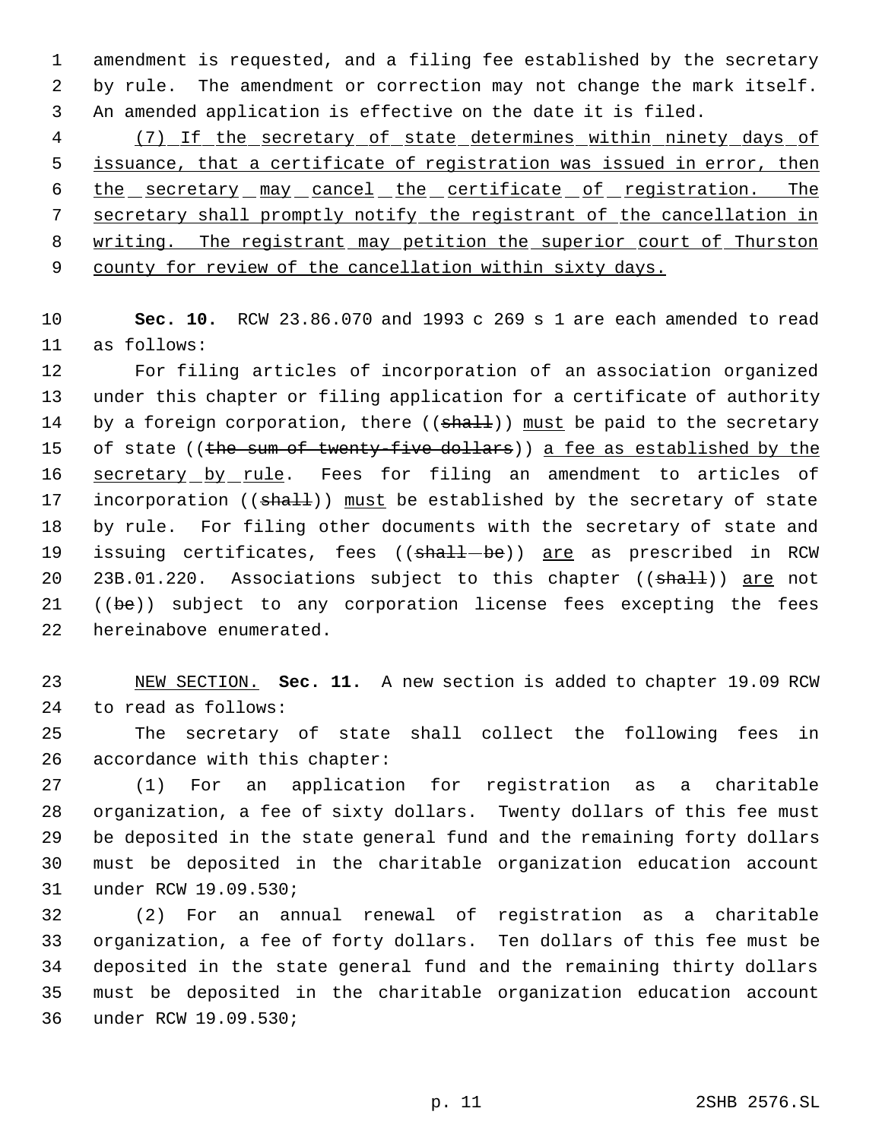amendment is requested, and a filing fee established by the secretary by rule. The amendment or correction may not change the mark itself. An amended application is effective on the date it is filed.

 (7) If the secretary of state determines within ninety days of issuance, that a certificate of registration was issued in error, then 6 the secretary may cancel the certificate of registration. The secretary shall promptly notify the registrant of the cancellation in 8 writing. The registrant may petition the superior court of Thurston county for review of the cancellation within sixty days.

 **Sec. 10.** RCW 23.86.070 and 1993 c 269 s 1 are each amended to read as follows:

 For filing articles of incorporation of an association organized under this chapter or filing application for a certificate of authority 14 by a foreign corporation, there ((shall)) must be paid to the secretary 15 of state ((the sum of twenty-five dollars)) a fee as established by the 16 secretary by rule. Fees for filing an amendment to articles of 17 incorporation ((shall)) must be established by the secretary of state by rule. For filing other documents with the secretary of state and 19 issuing certificates, fees ((shall-be)) are as prescribed in RCW 20 23B.01.220. Associations subject to this chapter ((shall)) are not 21 ((be)) subject to any corporation license fees excepting the fees hereinabove enumerated.

 NEW SECTION. **Sec. 11.** A new section is added to chapter 19.09 RCW to read as follows:

 The secretary of state shall collect the following fees in accordance with this chapter:

 (1) For an application for registration as a charitable organization, a fee of sixty dollars. Twenty dollars of this fee must be deposited in the state general fund and the remaining forty dollars must be deposited in the charitable organization education account under RCW 19.09.530;

 (2) For an annual renewal of registration as a charitable organization, a fee of forty dollars. Ten dollars of this fee must be deposited in the state general fund and the remaining thirty dollars must be deposited in the charitable organization education account under RCW 19.09.530;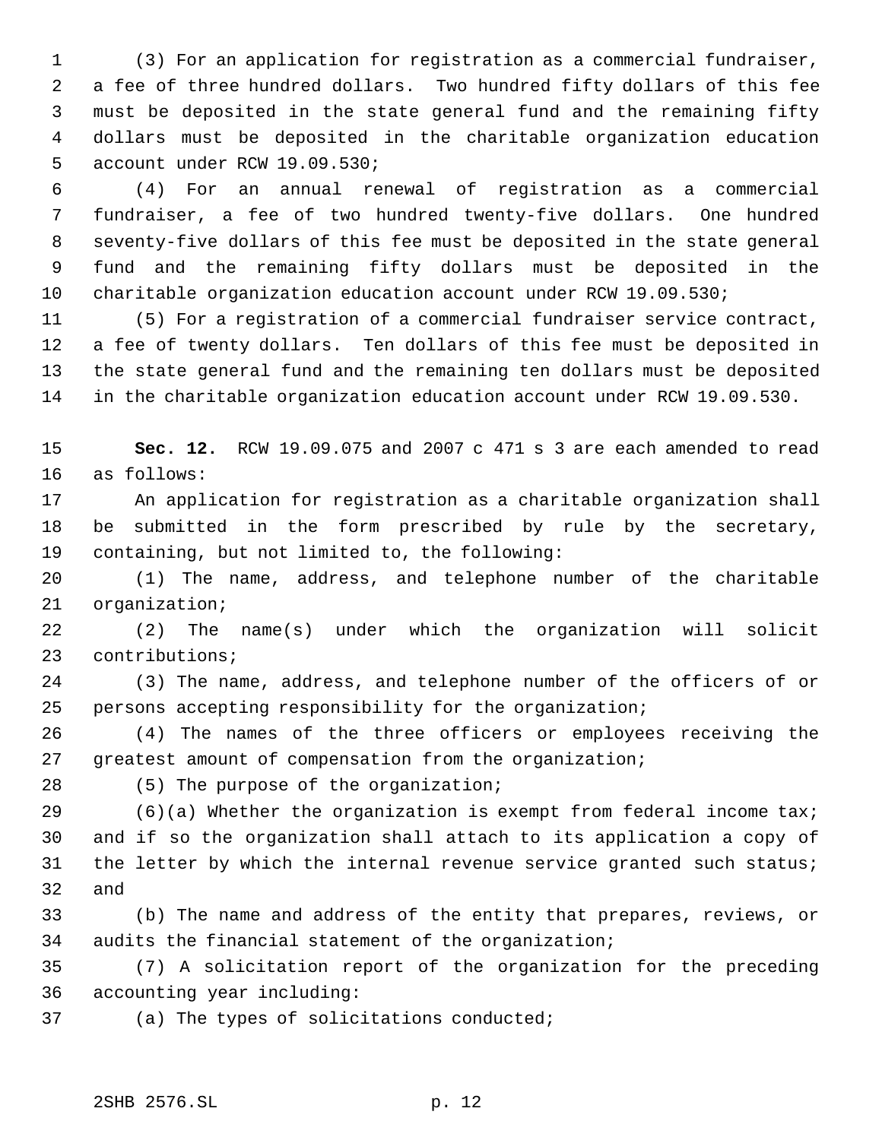(3) For an application for registration as a commercial fundraiser, a fee of three hundred dollars. Two hundred fifty dollars of this fee must be deposited in the state general fund and the remaining fifty dollars must be deposited in the charitable organization education account under RCW 19.09.530;

 (4) For an annual renewal of registration as a commercial fundraiser, a fee of two hundred twenty-five dollars. One hundred seventy-five dollars of this fee must be deposited in the state general fund and the remaining fifty dollars must be deposited in the charitable organization education account under RCW 19.09.530;

 (5) For a registration of a commercial fundraiser service contract, a fee of twenty dollars. Ten dollars of this fee must be deposited in the state general fund and the remaining ten dollars must be deposited in the charitable organization education account under RCW 19.09.530.

 **Sec. 12.** RCW 19.09.075 and 2007 c 471 s 3 are each amended to read as follows:

 An application for registration as a charitable organization shall be submitted in the form prescribed by rule by the secretary, containing, but not limited to, the following:

 (1) The name, address, and telephone number of the charitable organization;

 (2) The name(s) under which the organization will solicit contributions;

 (3) The name, address, and telephone number of the officers of or persons accepting responsibility for the organization;

 (4) The names of the three officers or employees receiving the greatest amount of compensation from the organization;

(5) The purpose of the organization;

29 (6)(a) Whether the organization is exempt from federal income  $\text{taxi}$  and if so the organization shall attach to its application a copy of 31 the letter by which the internal revenue service granted such status; and

 (b) The name and address of the entity that prepares, reviews, or audits the financial statement of the organization;

 (7) A solicitation report of the organization for the preceding accounting year including:

(a) The types of solicitations conducted;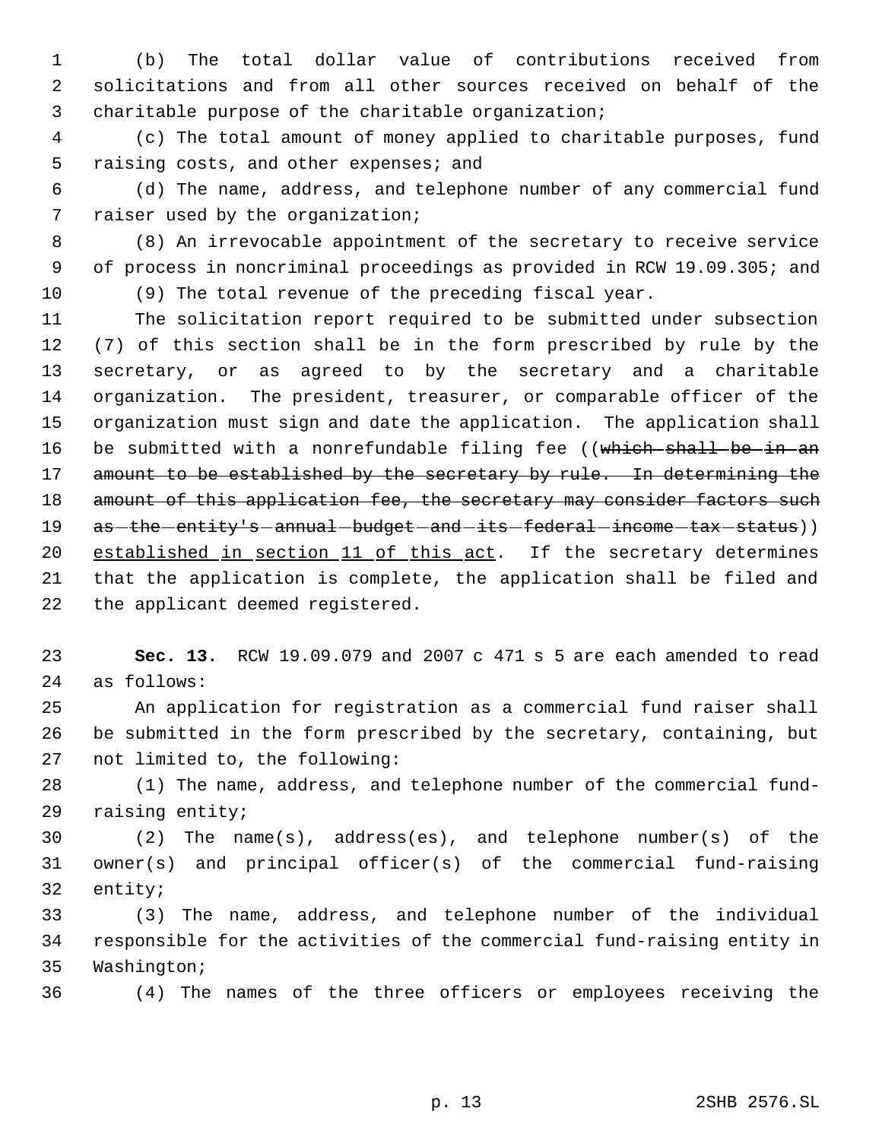(b) The total dollar value of contributions received from solicitations and from all other sources received on behalf of the charitable purpose of the charitable organization;

 (c) The total amount of money applied to charitable purposes, fund 5 raising costs, and other expenses; and

 (d) The name, address, and telephone number of any commercial fund raiser used by the organization;

 (8) An irrevocable appointment of the secretary to receive service of process in noncriminal proceedings as provided in RCW 19.09.305; and

(9) The total revenue of the preceding fiscal year.

 The solicitation report required to be submitted under subsection (7) of this section shall be in the form prescribed by rule by the secretary, or as agreed to by the secretary and a charitable organization. The president, treasurer, or comparable officer of the organization must sign and date the application. The application shall 16 be submitted with a nonrefundable filing fee ((which shall be in an 17 amount to be established by the secretary by rule. In determining the 18 amount of this application fee, the secretary may consider factors such 19 as - the - entity's - annual - budget - and - its - federal - income - tax - status)) 20 established in section 11 of this act. If the secretary determines that the application is complete, the application shall be filed and the applicant deemed registered.

 **Sec. 13.** RCW 19.09.079 and 2007 c 471 s 5 are each amended to read as follows:

 An application for registration as a commercial fund raiser shall be submitted in the form prescribed by the secretary, containing, but not limited to, the following:

 (1) The name, address, and telephone number of the commercial fund-raising entity;

 (2) The name(s), address(es), and telephone number(s) of the owner(s) and principal officer(s) of the commercial fund-raising entity;

 (3) The name, address, and telephone number of the individual responsible for the activities of the commercial fund-raising entity in Washington;

(4) The names of the three officers or employees receiving the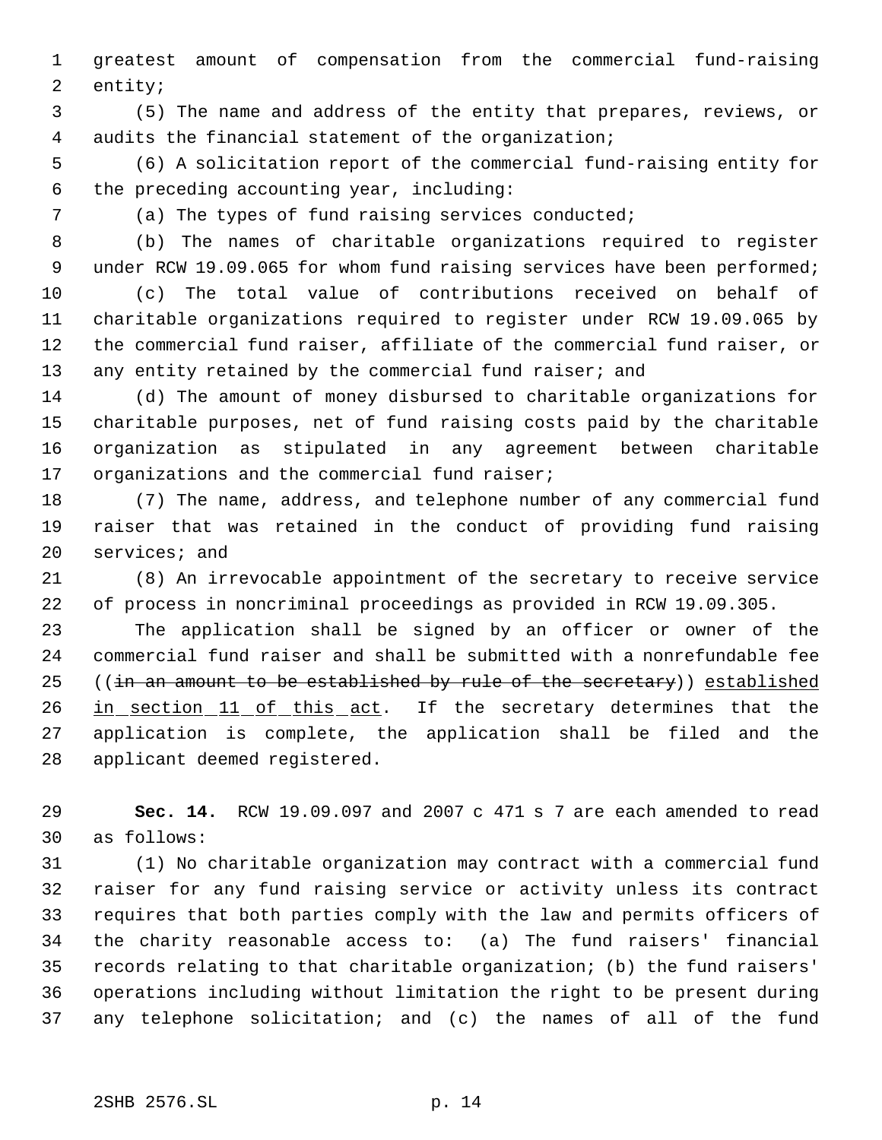greatest amount of compensation from the commercial fund-raising entity;

 (5) The name and address of the entity that prepares, reviews, or audits the financial statement of the organization;

 (6) A solicitation report of the commercial fund-raising entity for the preceding accounting year, including:

(a) The types of fund raising services conducted;

 (b) The names of charitable organizations required to register 9 under RCW 19.09.065 for whom fund raising services have been performed;

 (c) The total value of contributions received on behalf of charitable organizations required to register under RCW 19.09.065 by the commercial fund raiser, affiliate of the commercial fund raiser, or 13 any entity retained by the commercial fund raiser; and

 (d) The amount of money disbursed to charitable organizations for charitable purposes, net of fund raising costs paid by the charitable organization as stipulated in any agreement between charitable 17 organizations and the commercial fund raiser;

 (7) The name, address, and telephone number of any commercial fund raiser that was retained in the conduct of providing fund raising services; and

 (8) An irrevocable appointment of the secretary to receive service of process in noncriminal proceedings as provided in RCW 19.09.305.

 The application shall be signed by an officer or owner of the commercial fund raiser and shall be submitted with a nonrefundable fee 25 ((in an amount to be established by rule of the secretary)) established 26 in section 11 of this act. If the secretary determines that the application is complete, the application shall be filed and the applicant deemed registered.

 **Sec. 14.** RCW 19.09.097 and 2007 c 471 s 7 are each amended to read as follows:

 (1) No charitable organization may contract with a commercial fund raiser for any fund raising service or activity unless its contract requires that both parties comply with the law and permits officers of the charity reasonable access to: (a) The fund raisers' financial records relating to that charitable organization; (b) the fund raisers' operations including without limitation the right to be present during any telephone solicitation; and (c) the names of all of the fund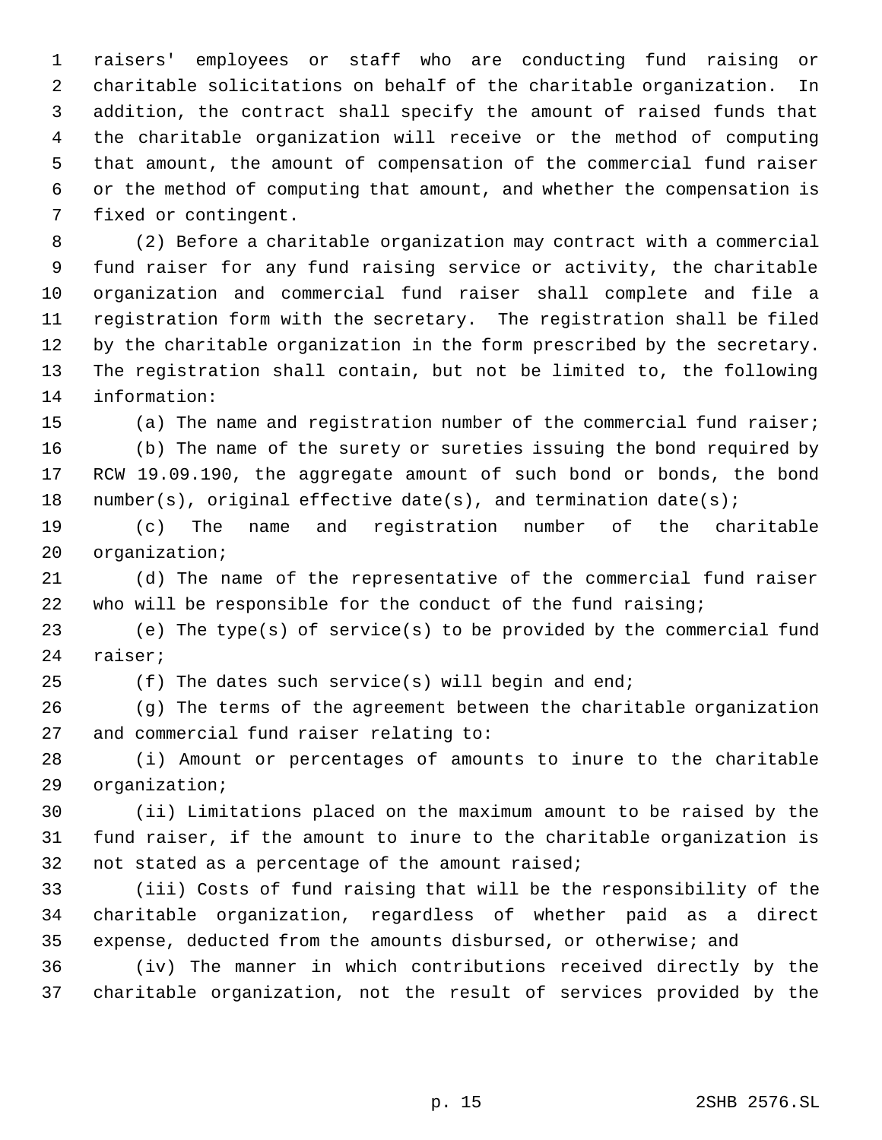raisers' employees or staff who are conducting fund raising or charitable solicitations on behalf of the charitable organization. In addition, the contract shall specify the amount of raised funds that the charitable organization will receive or the method of computing that amount, the amount of compensation of the commercial fund raiser or the method of computing that amount, and whether the compensation is fixed or contingent.

 (2) Before a charitable organization may contract with a commercial fund raiser for any fund raising service or activity, the charitable organization and commercial fund raiser shall complete and file a registration form with the secretary. The registration shall be filed by the charitable organization in the form prescribed by the secretary. The registration shall contain, but not be limited to, the following information:

(a) The name and registration number of the commercial fund raiser;

 (b) The name of the surety or sureties issuing the bond required by RCW 19.09.190, the aggregate amount of such bond or bonds, the bond 18 number(s), original effective date(s), and termination date(s);

 (c) The name and registration number of the charitable organization;

 (d) The name of the representative of the commercial fund raiser who will be responsible for the conduct of the fund raising;

 (e) The type(s) of service(s) to be provided by the commercial fund raiser;

(f) The dates such service(s) will begin and end;

 (g) The terms of the agreement between the charitable organization and commercial fund raiser relating to:

 (i) Amount or percentages of amounts to inure to the charitable organization;

 (ii) Limitations placed on the maximum amount to be raised by the fund raiser, if the amount to inure to the charitable organization is not stated as a percentage of the amount raised;

 (iii) Costs of fund raising that will be the responsibility of the charitable organization, regardless of whether paid as a direct expense, deducted from the amounts disbursed, or otherwise; and

 (iv) The manner in which contributions received directly by the charitable organization, not the result of services provided by the